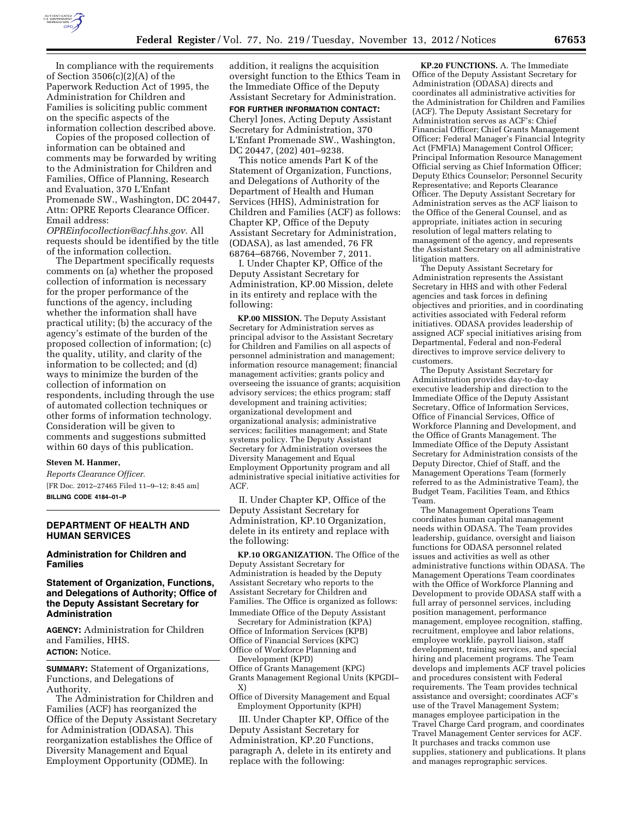

In compliance with the requirements of Section 3506(c)(2)(A) of the Paperwork Reduction Act of 1995, the Administration for Children and Families is soliciting public comment on the specific aspects of the information collection described above.

Copies of the proposed collection of information can be obtained and comments may be forwarded by writing to the Administration for Children and Families, Office of Planning, Research and Evaluation, 370 L'Enfant Promenade SW., Washington, DC 20447, Attn: OPRE Reports Clearance Officer. Email address:

*[OPREinfocollection@acf.hhs.gov](mailto:OPREinfocollection@acf.hhs.gov)*. All requests should be identified by the title of the information collection.

The Department specifically requests comments on (a) whether the proposed collection of information is necessary for the proper performance of the functions of the agency, including whether the information shall have practical utility; (b) the accuracy of the agency's estimate of the burden of the proposed collection of information; (c) the quality, utility, and clarity of the information to be collected; and (d) ways to minimize the burden of the collection of information on respondents, including through the use of automated collection techniques or other forms of information technology. Consideration will be given to comments and suggestions submitted within 60 days of this publication.

#### **Steven M. Hanmer,**

*Reports Clearance Officer.*  [FR Doc. 2012–27465 Filed 11–9–12; 8:45 am] **BILLING CODE 4184–01–P** 

# **DEPARTMENT OF HEALTH AND HUMAN SERVICES**

**Administration for Children and Families** 

## **Statement of Organization, Functions, and Delegations of Authority; Office of the Deputy Assistant Secretary for Administration**

**AGENCY:** Administration for Children and Families, HHS. **ACTION:** Notice.

**SUMMARY:** Statement of Organizations, Functions, and Delegations of Authority.

The Administration for Children and Families (ACF) has reorganized the Office of the Deputy Assistant Secretary for Administration (ODASA). This reorganization establishes the Office of Diversity Management and Equal Employment Opportunity (ODME). In

addition, it realigns the acquisition oversight function to the Ethics Team in the Immediate Office of the Deputy Assistant Secretary for Administration.

**FOR FURTHER INFORMATION CONTACT:**  Cheryl Jones, Acting Deputy Assistant Secretary for Administration, 370 L'Enfant Promenade SW., Washington, DC 20447, (202) 401–9238.

This notice amends Part K of the Statement of Organization, Functions, and Delegations of Authority of the Department of Health and Human Services (HHS), Administration for Children and Families (ACF) as follows: Chapter KP, Office of the Deputy Assistant Secretary for Administration, (ODASA), as last amended, 76 FR 68764–68766, November 7, 2011.

I. Under Chapter KP, Office of the Deputy Assistant Secretary for Administration, KP.00 Mission, delete in its entirety and replace with the following:

**KP.00 MISSION.** The Deputy Assistant Secretary for Administration serves as principal advisor to the Assistant Secretary for Children and Families on all aspects of personnel administration and management; information resource management; financial management activities; grants policy and overseeing the issuance of grants; acquisition advisory services; the ethics program; staff development and training activities; organizational development and organizational analysis; administrative services; facilities management; and State systems policy. The Deputy Assistant Secretary for Administration oversees the Diversity Management and Equal Employment Opportunity program and all administrative special initiative activities for ACF.

II. Under Chapter KP, Office of the Deputy Assistant Secretary for Administration, KP.10 Organization, delete in its entirety and replace with the following:

**KP.10 ORGANIZATION.** The Office of the Deputy Assistant Secretary for Administration is headed by the Deputy Assistant Secretary who reports to the Assistant Secretary for Children and Families. The Office is organized as follows: Immediate Office of the Deputy Assistant

Secretary for Administration (KPA) Office of Information Services (KPB) Office of Financial Services (KPC)

Office of Workforce Planning and Development (KPD)

Office of Grants Management (KPG) Grants Management Regional Units (KPGDI– X)

Office of Diversity Management and Equal Employment Opportunity (KPH)

III. Under Chapter KP, Office of the Deputy Assistant Secretary for Administration, KP.20 Functions, paragraph A, delete in its entirety and replace with the following:

**KP.20 FUNCTIONS.** A. The Immediate Office of the Deputy Assistant Secretary for Administration (ODASA) directs and coordinates all administrative activities for the Administration for Children and Families (ACF). The Deputy Assistant Secretary for Administration serves as ACF's: Chief Financial Officer; Chief Grants Management Officer; Federal Manager's Financial Integrity Act (FMFIA) Management Control Officer; Principal Information Resource Management Official serving as Chief Information Officer; Deputy Ethics Counselor; Personnel Security Representative; and Reports Clearance Officer. The Deputy Assistant Secretary for Administration serves as the ACF liaison to the Office of the General Counsel, and as appropriate, initiates action in securing resolution of legal matters relating to management of the agency, and represents the Assistant Secretary on all administrative litigation matters.

The Deputy Assistant Secretary for Administration represents the Assistant Secretary in HHS and with other Federal agencies and task forces in defining objectives and priorities, and in coordinating activities associated with Federal reform initiatives. ODASA provides leadership of assigned ACF special initiatives arising from Departmental, Federal and non-Federal directives to improve service delivery to customers.

The Deputy Assistant Secretary for Administration provides day-to-day executive leadership and direction to the Immediate Office of the Deputy Assistant Secretary, Office of Information Services, Office of Financial Services, Office of Workforce Planning and Development, and the Office of Grants Management. The Immediate Office of the Deputy Assistant Secretary for Administration consists of the Deputy Director, Chief of Staff, and the Management Operations Team (formerly referred to as the Administrative Team), the Budget Team, Facilities Team, and Ethics Team.

The Management Operations Team coordinates human capital management needs within ODASA. The Team provides leadership, guidance, oversight and liaison functions for ODASA personnel related issues and activities as well as other administrative functions within ODASA. The Management Operations Team coordinates with the Office of Workforce Planning and Development to provide ODASA staff with a full array of personnel services, including position management, performance management, employee recognition, staffing, recruitment, employee and labor relations, employee worklife, payroll liaison, staff development, training services, and special hiring and placement programs. The Team develops and implements ACF travel policies and procedures consistent with Federal requirements. The Team provides technical assistance and oversight; coordinates ACF's use of the Travel Management System; manages employee participation in the Travel Charge Card program, and coordinates Travel Management Center services for ACF. It purchases and tracks common use supplies, stationery and publications. It plans and manages reprographic services.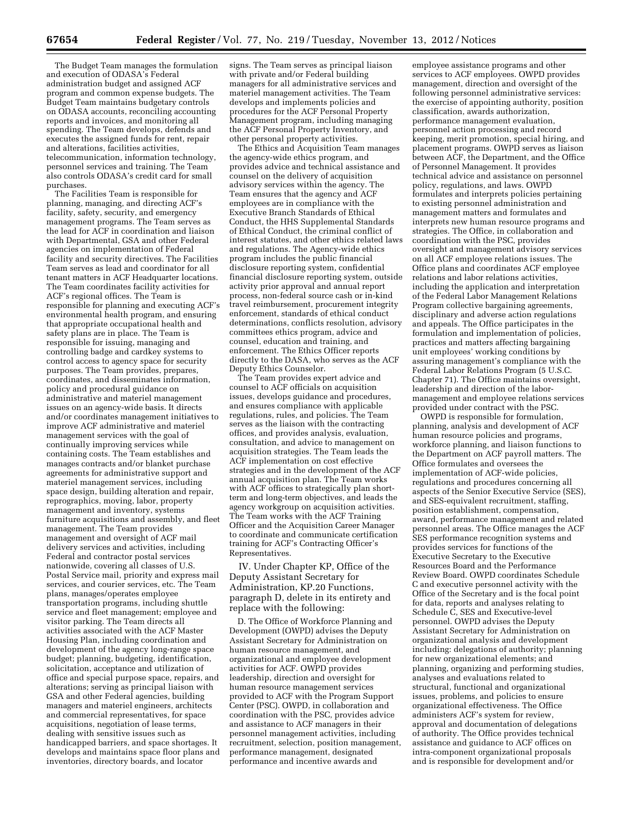The Budget Team manages the formulation and execution of ODASA's Federal administration budget and assigned ACF program and common expense budgets. The Budget Team maintains budgetary controls on ODASA accounts, reconciling accounting reports and invoices, and monitoring all spending. The Team develops, defends and executes the assigned funds for rent, repair and alterations, facilities activities, telecommunication, information technology, personnel services and training. The Team also controls ODASA's credit card for small purchases.

The Facilities Team is responsible for planning, managing, and directing ACF's facility, safety, security, and emergency management programs. The Team serves as the lead for ACF in coordination and liaison with Departmental, GSA and other Federal agencies on implementation of Federal facility and security directives. The Facilities Team serves as lead and coordinator for all tenant matters in ACF Headquarter locations. The Team coordinates facility activities for ACF's regional offices. The Team is responsible for planning and executing ACF's environmental health program, and ensuring that appropriate occupational health and safety plans are in place. The Team is responsible for issuing, managing and controlling badge and cardkey systems to control access to agency space for security purposes. The Team provides, prepares, coordinates, and disseminates information, policy and procedural guidance on administrative and materiel management issues on an agency-wide basis. It directs and/or coordinates management initiatives to improve ACF administrative and materiel management services with the goal of continually improving services while containing costs. The Team establishes and manages contracts and/or blanket purchase agreements for administrative support and materiel management services, including space design, building alteration and repair, reprographics, moving, labor, property management and inventory, systems furniture acquisitions and assembly, and fleet management. The Team provides management and oversight of ACF mail delivery services and activities, including Federal and contractor postal services nationwide, covering all classes of U.S. Postal Service mail, priority and express mail services, and courier services, etc. The Team plans, manages/operates employee transportation programs, including shuttle service and fleet management; employee and visitor parking. The Team directs all activities associated with the ACF Master Housing Plan, including coordination and development of the agency long-range space budget; planning, budgeting, identification, solicitation, acceptance and utilization of office and special purpose space, repairs, and alterations; serving as principal liaison with GSA and other Federal agencies, building managers and materiel engineers, architects and commercial representatives, for space acquisitions, negotiation of lease terms, dealing with sensitive issues such as handicapped barriers, and space shortages. It develops and maintains space floor plans and inventories, directory boards, and locator

signs. The Team serves as principal liaison with private and/or Federal building managers for all administrative services and materiel management activities. The Team develops and implements policies and procedures for the ACF Personal Property Management program, including managing the ACF Personal Property Inventory, and other personal property activities.

The Ethics and Acquisition Team manages the agency-wide ethics program, and provides advice and technical assistance and counsel on the delivery of acquisition advisory services within the agency. The Team ensures that the agency and ACF employees are in compliance with the Executive Branch Standards of Ethical Conduct, the HHS Supplemental Standards of Ethical Conduct, the criminal conflict of interest statutes, and other ethics related laws and regulations. The Agency-wide ethics program includes the public financial disclosure reporting system, confidential financial disclosure reporting system, outside activity prior approval and annual report process, non-federal source cash or in-kind travel reimbursement, procurement integrity enforcement, standards of ethical conduct determinations, conflicts resolution, advisory committees ethics program, advice and counsel, education and training, and enforcement. The Ethics Officer reports directly to the DASA, who serves as the ACF Deputy Ethics Counselor.

The Team provides expert advice and counsel to ACF officials on acquisition issues, develops guidance and procedures, and ensures compliance with applicable regulations, rules, and policies. The Team serves as the liaison with the contracting offices, and provides analysis, evaluation, consultation, and advice to management on acquisition strategies. The Team leads the ACF implementation on cost effective strategies and in the development of the ACF annual acquisition plan. The Team works with ACF offices to strategically plan shortterm and long-term objectives, and leads the agency workgroup on acquisition activities. The Team works with the ACF Training Officer and the Acquisition Career Manager to coordinate and communicate certification training for ACF's Contracting Officer's Representatives.

IV. Under Chapter KP, Office of the Deputy Assistant Secretary for Administration, KP.20 Functions, paragraph D, delete in its entirety and replace with the following:

D. The Office of Workforce Planning and Development (OWPD) advises the Deputy Assistant Secretary for Administration on human resource management, and organizational and employee development activities for ACF. OWPD provides leadership, direction and oversight for human resource management services provided to ACF with the Program Support Center (PSC). OWPD, in collaboration and coordination with the PSC, provides advice and assistance to ACF managers in their personnel management activities, including recruitment, selection, position management, performance management, designated performance and incentive awards and

employee assistance programs and other services to ACF employees. OWPD provides management, direction and oversight of the following personnel administrative services: the exercise of appointing authority, position classification, awards authorization, performance management evaluation, personnel action processing and record keeping, merit promotion, special hiring, and placement programs. OWPD serves as liaison between ACF, the Department, and the Office of Personnel Management. It provides technical advice and assistance on personnel policy, regulations, and laws. OWPD formulates and interprets policies pertaining to existing personnel administration and management matters and formulates and interprets new human resource programs and strategies. The Office, in collaboration and coordination with the PSC, provides oversight and management advisory services on all ACF employee relations issues. The Office plans and coordinates ACF employee relations and labor relations activities, including the application and interpretation of the Federal Labor Management Relations Program collective bargaining agreements, disciplinary and adverse action regulations and appeals. The Office participates in the formulation and implementation of policies, practices and matters affecting bargaining unit employees' working conditions by assuring management's compliance with the Federal Labor Relations Program (5 U.S.C. Chapter 71). The Office maintains oversight, leadership and direction of the labormanagement and employee relations services provided under contract with the PSC.

OWPD is responsible for formulation, planning, analysis and development of ACF human resource policies and programs, workforce planning, and liaison functions to the Department on ACF payroll matters. The Office formulates and oversees the implementation of ACF-wide policies, regulations and procedures concerning all aspects of the Senior Executive Service (SES), and SES-equivalent recruitment, staffing, position establishment, compensation, award, performance management and related personnel areas. The Office manages the ACF SES performance recognition systems and provides services for functions of the Executive Secretary to the Executive Resources Board and the Performance Review Board. OWPD coordinates Schedule C and executive personnel activity with the Office of the Secretary and is the focal point for data, reports and analyses relating to Schedule C, SES and Executive-level personnel. OWPD advises the Deputy Assistant Secretary for Administration on organizational analysis and development including: delegations of authority; planning for new organizational elements; and planning, organizing and performing studies, analyses and evaluations related to structural, functional and organizational issues, problems, and policies to ensure organizational effectiveness. The Office administers ACF's system for review, approval and documentation of delegations of authority. The Office provides technical assistance and guidance to ACF offices on intra-component organizational proposals and is responsible for development and/or